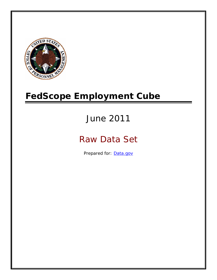

# **FedScope Employment Cube**

# June 2011

# Raw Data Set

Prepared for: [Data.gov](http://www.data.gov/)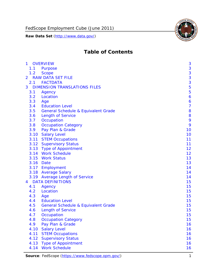

# **Table of Contents**

| $\mathbf{1}$   |           | <b>OVERVIEW</b>                                | 3              |
|----------------|-----------|------------------------------------------------|----------------|
|                | 1.1       | Purpose                                        | 3              |
|                | 1.2       | <b>Scope</b>                                   | 3              |
| $\overline{2}$ |           | <b>RAW DATA SET FILE</b>                       | 3              |
|                |           | 2.1 FACTDATA                                   | 3              |
| 3              |           | <b>DIMENSION TRANSLATIONS FILES</b>            | 5              |
|                | 3.1       | Agency                                         | 5              |
|                | 3.2       | Location                                       | 6              |
|                | 3.3       | Age                                            | 6              |
|                | 3.4       | <b>Education Level</b>                         | $\overline{7}$ |
|                | 3.5       | <b>General Schedule &amp; Equivalent Grade</b> | 8              |
|                | 3.6       | <b>Length of Service</b>                       | 8              |
|                | 3.7       | Occupation                                     | 9              |
|                | 3.8       | <b>Occupation Category</b>                     | 9              |
|                | 3.9       | Pay Plan & Grade                               | 10             |
|                | 3.10      | <b>Salary Level</b>                            | 10             |
|                | 3.11      | <b>STEM Occupations</b>                        | 11             |
|                |           | 3.12 Supervisory Status                        | 11             |
|                |           | 3.13 Type of Appointment                       | 12             |
|                |           | 3.14 Work Schedule                             | 12             |
|                | 3.15      | <b>Work Status</b>                             | 13             |
|                | 3.16 Date |                                                | 13             |
|                |           | 3.17 Employment                                | 14             |
|                |           | 3.18 Average Salary                            | 14             |
|                |           | 3.19 Average Length of Service                 | 14             |
| $\overline{4}$ |           | <b>DATA DEFINITIONS</b>                        | 15             |
|                | 4.1       | Agency                                         | 15             |
|                | 4.2       | Location                                       | 15             |
|                | 4.3       | Age                                            | 15             |
|                | 4.4       | <b>Education Level</b>                         | 15             |
|                | 4.5       | <b>General Schedule &amp; Equivalent Grade</b> | 15             |
|                | 4.6       | <b>Length of Service</b>                       | 15             |
|                | 4.7       | Occupation                                     | 15             |
|                | 4.8       | <b>Occupation Category</b>                     | 15             |
|                | 4.9       | Pay Plan & Grade                               | 16             |
|                | 4.10      | <b>Salary Level</b>                            | 16             |
|                | 4.11      | <b>STEM Occupations</b>                        | 16             |
|                | 4.12      | <b>Supervisory Status</b>                      | 16             |
|                | 4.13      | <b>Type of Appointment</b>                     | 16             |
|                | 4.14      | <b>Work Schedule</b>                           | 16             |

Source: FedScope (https://www.fedscope.opm.gov/) 1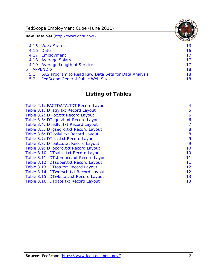FedScope Employment Cube (June 2011)

**Raw Data Set** (http://www.data.gov/)

|               | 4.15 Work Status                                    | 16 |
|---------------|-----------------------------------------------------|----|
|               | 4.16 Date                                           | 16 |
|               | 4.17 Employment                                     | 17 |
|               | 4.18 Average Salary                                 | 17 |
|               | 4.19 Average Length of Service                      | 17 |
|               | 5 APPENDIX                                          | 18 |
| 5.1           | SAS Program to Read Raw Data Sets for Data Analysis | 18 |
| $5.2^{\circ}$ | <b>FedScope General Public Web Site</b>             | 18 |

# **Listing of Tables**

| Table 2.1: FACTDATA.TXT Record Layout   | 4  |
|-----------------------------------------|----|
| Table 3.1: DTagy.txt Record Layout      | 5  |
| Table 3.2: DTloc.txt Record Layout      | 6  |
| Table 3.3: DTagelvl.txt Record Layout   | 6  |
| Table 3.4: DTedlvl.txt Record Layout    | 7  |
| Table 3.5: DTgsegrd.txt Record Layout   | 8  |
| Table 3.6: DTIoslyl.txt Record Layout   | 8  |
| Table 3.7: DTocc.txt Record Layout      | 9  |
| Table 3.8: DTpatco.txt Record Layout    | 9  |
| Table 3.9: DTppgrd.txt Record Layout    | 10 |
| Table 3.10: DTsallvl.txt Record Layout  | 10 |
| Table 3.11: DTstemocc.txt Record Layout | 11 |
| Table 3.12: DTsuper.txt Record Layout   | 11 |
| Table 3.13: DTtoa.txt Record Layout     | 12 |
| Table 3.14: DTwrksch.txt Record Layout  | 12 |
| Table 3.15: DTwkstat.txt Record Layout  | 13 |
| Table 3.16: DTdate.txt Record Layout    | 13 |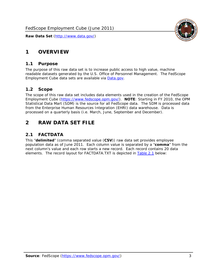

# <span id="page-3-0"></span>**1 OVERVIEW**

#### *1.1 Purpose*

<span id="page-3-1"></span>The purpose of this raw data set is to increase public access to high value, machine readable datasets generated by the U.S. Office of Personnel Management. The FedScope Employment Cube data sets are available via [Data.gov](http://www.data.gov/).

#### <span id="page-3-2"></span>*1.2 Scope*

The scope of this raw data set includes data elements used in the creation of the FedScope Employment Cube [\(https://www.fedscope.opm.gov/\)](https://www.fedscope.opm.gov/). **NOTE**: Starting in FY 2010, the OPM Statistical Data Mart (SDM) is the source for all FedScope data. The SDM is processed data from the Enterprise Human Resources Integration (EHRI) data warehouse. Data is processed on a quarterly basis (i.e. March, June, September and December).

# <span id="page-3-3"></span>**2 RAW DATA SET FILE**

# <span id="page-3-4"></span>*2.1 FACTDATA*

This "**delimited**" (comma separated value (**CSV**)) raw data set provides employee population data as of June 2011. Each column value is separated by a "**comma**" from the next column's value and each row starts a new record. Each record contains 20 data elements. The record layout for FACTDATA.TXT is depicted in [Table 2.1](#page-4-1) below: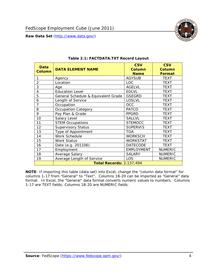

<span id="page-4-1"></span><span id="page-4-0"></span>

| Data<br><b>Column</b> | <b>DATA ELEMENT NAME</b>            | <b>CSV</b><br><b>Column</b><br><b>Name</b> | <b>CSV</b><br><b>Column</b><br><b>Format</b> |
|-----------------------|-------------------------------------|--------------------------------------------|----------------------------------------------|
|                       | Agency                              | <b>AGYSUB</b>                              | <b>TEXT</b>                                  |
| $\overline{2}$        | Location                            | <b>LOC</b>                                 | <b>TEXT</b>                                  |
| 3                     | Age                                 | <b>AGELVL</b>                              | <b>TEXT</b>                                  |
| 4                     | <b>Education Level</b>              | <b>EDLVL</b>                               | <b>TEXT</b>                                  |
| 5                     | General Schedule & Equivalent Grade | <b>GSEGRD</b>                              | <b>TEXT</b>                                  |
| 6                     | Length of Service                   | <b>LOSLVL</b>                              | <b>TEXT</b>                                  |
| 7                     | Occupation                          | OCC                                        | <b>TEXT</b>                                  |
| 8                     | <b>Occupation Category</b>          | <b>PATCO</b>                               | <b>TEXT</b>                                  |
| 9                     | Pay Plan & Grade                    | <b>PPGRD</b>                               | <b>TEXT</b>                                  |
| 10                    | Salary Level                        | <b>SALLVL</b>                              | <b>TEXT</b>                                  |
| 11                    | <b>STEM Occupations</b>             | <b>STEMOCC</b>                             | <b>TEXT</b>                                  |
| 12                    | <b>Supervisory Status</b>           | <b>SUPERVIS</b>                            | <b>TEXT</b>                                  |
| 13                    | Type of Appointment                 | <b>TOA</b>                                 | <b>TEXT</b>                                  |
| 14                    | Work Schedule                       | <b>WORKSCH</b>                             | <b>TEXT</b>                                  |
| 15                    | <b>Work Status</b>                  | <b>WORKSTAT</b>                            | <b>TEXT</b>                                  |
| 16                    | Date (e.g. 201106)                  | <b>DATECODE</b>                            | <b>TEXT</b>                                  |
| 17                    | Employment                          | <b>EMPLOYMENT</b>                          | <b>NUMERIC</b>                               |
| 18                    | Average Salary                      | <b>SALARY</b>                              | <b>NUMERIC</b>                               |
| 19                    | Average Length of Service           | LOS                                        | <b>NUMERIC</b>                               |
|                       | <b>Total Records: 2,137,494</b>     |                                            |                                              |

#### **Table 2.1: FACTDATA.TXT Record Layout**

**NOTE**: If importing this table (data set) into Excel, change the "column data format" for columns 1-17 from "General" to "Text". Columns 18-20 can be imported as "General" data format. In Excel, the "General" data format converts numeric values to numbers. Columns 1-17 are TEXT fields; Columns 18-20 are NUMERIC fields.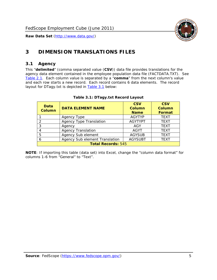

# <span id="page-5-0"></span>**3 DIMENSION TRANSLATIONS FILES**

#### <span id="page-5-1"></span>*3.1 Agency*

<span id="page-5-3"></span><span id="page-5-2"></span>This "**delimited**" (comma separated value (**CSV**)) data file provides translations for the agency data element contained in the employee population data file (FACTDATA.TXT). See [Table 2.1.](#page-4-1) Each column value is separated by a "**comma**" from the next column's value and each row starts a new record. Each record contains 6 data elements. The record layout for DTagy.txt is depicted in **Table 3.1** below:

| Data<br><b>Column</b>     | <b>DATA ELEMENT NAME</b>       | <b>CSV</b><br><b>Column</b><br><b>Name</b> | <b>CSV</b><br>Column<br><b>Format</b> |
|---------------------------|--------------------------------|--------------------------------------------|---------------------------------------|
|                           | Agency Type                    | <b>AGYTYP</b>                              | <b>TEXT</b>                           |
| 2                         | <b>Agency Type Translation</b> | <b>AGYTYPT</b>                             | <b>TEXT</b>                           |
| 3                         | Agency                         | AGY                                        | <b>TEXT</b>                           |
|                           | <b>Agency Translation</b>      | <b>AGYT</b>                                | <b>TEXT</b>                           |
| -5                        | Agency Sub element             | <b>AGYSUB</b>                              | <b>TEXT</b>                           |
|                           | Agency Sub element Translation | <b>AGYSUBT</b>                             | <b>TEXT</b>                           |
| <b>Total Records: 545</b> |                                |                                            |                                       |

#### **Table 3.1: DTagy.txt Record Layout**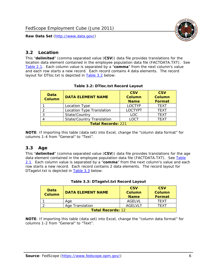

#### <span id="page-6-0"></span>*3.2 Location*

<span id="page-6-4"></span><span id="page-6-2"></span>This "**delimited**" (comma separated value (**CSV**)) data file provides translations for the location data element contained in the employee population data file (FACTDATA.TXT). See [Table 2.1.](#page-4-1) Each column value is separated by a "**comma**" from the next column's value and each row starts a new record. Each record contains 4 data elements. The record layout for DTloc.txt is depicted in [Table 3.2](#page-6-4) below:

| Data<br><b>Column</b>     | <b>DATA ELEMENT NAME</b>         | <b>CSV</b><br>Column<br><b>Name</b> | <b>CSV</b><br><b>Column</b><br><b>Format</b> |
|---------------------------|----------------------------------|-------------------------------------|----------------------------------------------|
|                           | Location Type                    | <b>LOCTYP</b>                       | <b>TEXT</b>                                  |
|                           | Location Type Translation        | <b>LOCTYPT</b>                      | <b>TFXT</b>                                  |
| ⌒                         | State/Country                    | LOC.                                | <b>TEXT</b>                                  |
|                           | <b>State/Country Translation</b> | LOCT                                | <b>TFXT</b>                                  |
| <b>Total Records: 221</b> |                                  |                                     |                                              |

#### **Table 3.2: DTloc.txt Record Layout**

**NOTE**: If importing this table (data set) into Excel, change the "column data format" for columns 1-4 from "General" to "Text".

#### <span id="page-6-1"></span>*3.3 Age*

<span id="page-6-5"></span><span id="page-6-3"></span>This "**delimited**" (comma separated value (**CSV**)) data file provides translations for the age data element contained in the employee population data file (FACTDATA.TXT). See [Table](#page-4-1) [2.1](#page-4-1). Each column value is separated by a "**comma**" from the next column's value and each row starts a new record. Each record contains 2 data elements. The record layout for DTagelvl.txt is depicted in **[Table 3.3](#page-6-5)** below:

| Data<br><b>Column</b>    | <b>DATA ELEMENT NAME</b> | <b>CSV</b><br>Column<br><b>Name</b> | <b>CSV</b><br>Column<br><b>Format</b> |
|--------------------------|--------------------------|-------------------------------------|---------------------------------------|
|                          | Aae                      | AGFI VI                             | TFXT                                  |
|                          | Age Translation          | AGFI VI T                           | TFXT                                  |
| <b>Total Records: 12</b> |                          |                                     |                                       |

#### **Table 3.3: DTagelvl.txt Record Layout**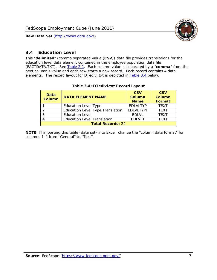

## <span id="page-7-0"></span>*3.4 Education Level*

<span id="page-7-2"></span><span id="page-7-1"></span>This "**delimited**" (comma separated value (**CSV**)) data file provides translations for the education level data element contained in the employee population data file (FACTDATA.TXT). See [Table 2.1](#page-4-1). Each column value is separated by a "**comma**" from the next column's value and each row starts a new record. Each record contains 4 data elements. The record layout for DTedlvl.txt is depicted in [Table 3.4](#page-7-2) below:

| Data<br><b>Column</b>    | <b>DATA ELEMENT NAME</b>           | <b>CSV</b><br><b>Column</b><br><b>Name</b> | <b>CSV</b><br><b>Column</b><br>Format |  |
|--------------------------|------------------------------------|--------------------------------------------|---------------------------------------|--|
|                          | <b>Education Level Type</b>        | <b>EDLVLTYP</b>                            | <b>TEXT</b>                           |  |
|                          | Education Level Type Translation   | <b>EDLVLTYPT</b>                           | <b>TEXT</b>                           |  |
|                          | <b>Education Level</b>             | <b>EDLVL</b>                               | <b>TEXT</b>                           |  |
|                          | <b>Education Level Translation</b> | <b>EDLVLT</b>                              | <b>TEXT</b>                           |  |
| <b>Total Records: 24</b> |                                    |                                            |                                       |  |

#### **Table 3.4: DTedlvl.txt Record Layout**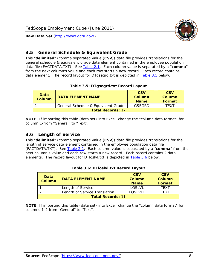

#### <span id="page-8-0"></span>*3.5 General Schedule & Equivalent Grade*

This "**delimited**" (comma separated value (**CSV**)) data file provides translations for the general schedule & equivalent grade data element contained in the employee population data file (FACTDATA.TXT). See [Table 2.1](#page-4-1). Each column value is separated by a "**comma**" from the next column's value and each row starts a new record. Each record contains 1 data element. The record layout for DTgsegrd.txt is depicted in [Table 3.5](#page-8-4) below:

#### **Table 3.5: DTgsegrd.txt Record Layout**

<span id="page-8-4"></span><span id="page-8-2"></span>

| Data<br><b>Column</b>    | DATA FI FMFNT NAMF                  | <b>CSV</b><br>Column<br><b>Name</b> | <b>CSV</b><br>Column<br>Format |  |
|--------------------------|-------------------------------------|-------------------------------------|--------------------------------|--|
|                          | General Schedule & Equivalent Grade | GSEGRD                              | TFXT                           |  |
| <b>Total Records: 17</b> |                                     |                                     |                                |  |

**NOTE**: If importing this table (data set) into Excel, change the "column data format" for column 1-from "General" to "Text".

#### <span id="page-8-1"></span>*3.6 Length of Service*

<span id="page-8-5"></span>This "**delimited**" (comma separated value (**CSV**)) data file provides translations for the length of service data element contained in the employee population data file (FACTDATA.TXT). See [Table 2.1](#page-4-1). Each column value is separated by a "**comma**" from the next column's value and each row starts a new record. Each record contains 2 data elements. The record layout for DTloslvl.txt is depicted in [Table 3.6](#page-8-5) below:

<span id="page-8-3"></span>

| Data<br><b>Column</b>    | <b>DATA ELEMENT NAME</b>      | <b>CSV</b><br><b>Column</b><br><b>Name</b> | <b>CSV</b><br>Column<br>Format |  |
|--------------------------|-------------------------------|--------------------------------------------|--------------------------------|--|
|                          | Length of Service             | LOSLVL                                     | TFXT                           |  |
|                          | Length of Service Translation | LOSI VLT                                   | TFXT                           |  |
| <b>Total Records: 11</b> |                               |                                            |                                |  |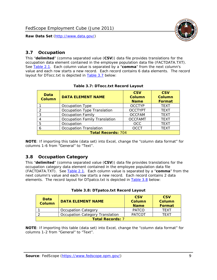

#### <span id="page-9-0"></span>*3.7 Occupation*

<span id="page-9-4"></span>This "**delimited**" (comma separated value (**CSV**)) data file provides translations for the occupation data element contained in the employee population data file (FACTDATA.TXT). See [Table 2.1](#page-4-1). Each column value is separated by a "**comma**" from the next column's value and each row starts a new record. Each record contains 6 data elements. The record layout for DTocc.txt is depicted in [Table 3.7](#page-9-4) below:

<span id="page-9-2"></span>

| Data<br><b>Column</b>     | <b>DATA ELEMENT NAME</b>             | <b>CSV</b><br>Column<br><b>Name</b> | <b>CSV</b><br><b>Column</b><br><b>Format</b> |
|---------------------------|--------------------------------------|-------------------------------------|----------------------------------------------|
|                           | Occupation Type                      | <b>OCCTYP</b>                       | <b>TEXT</b>                                  |
|                           | Occupation Type Translation          | <b>OCCTYPT</b>                      | <b>TEXT</b>                                  |
| ာ                         | <b>Occupation Family</b>             | <b>OCCFAM</b>                       | <b>TEXT</b>                                  |
|                           | <b>Occupation Family Translation</b> | <b>OCCFAMT</b>                      | <b>TEXT</b>                                  |
| 5                         | Occupation                           | <b>OCC</b>                          | <b>TEXT</b>                                  |
|                           | <b>Occupation Translation</b>        | <b>OCCT</b>                         | <b>TEXT</b>                                  |
| <b>Total Records: 704</b> |                                      |                                     |                                              |

#### **Table 3.7: DTocc.txt Record Layout**

**NOTE**: If importing this table (data set) into Excel, change the "column data format" for columns 1-6 from "General" to "Text".

#### <span id="page-9-1"></span>*3.8 Occupation Category*

<span id="page-9-5"></span>This "**delimited**" (comma separated value (**CSV**)) data file provides translations for the occupation category data element contained in the employee population data file (FACTDATA.TXT). See [Table 2.1](#page-4-1). Each column value is separated by a "**comma**" from the next column's value and each row starts a new record. Each record contains 2 data elements. The record layout for DTpatco.txt is depicted in [Table 3.8](#page-9-5) below:

<span id="page-9-3"></span>

| Data<br><b>Column</b>   | <b>DATA ELEMENT NAME</b>        | <b>CSV</b><br>Column<br><b>Name</b> | <b>CSV</b><br>Column<br>Format |
|-------------------------|---------------------------------|-------------------------------------|--------------------------------|
|                         | <b>Occupation Category</b>      | <b>PATCO</b>                        | <b>TFXT</b>                    |
|                         | Occupation Category Translation | <b>PATCOT</b>                       | TFXT                           |
| <b>Total Records: 7</b> |                                 |                                     |                                |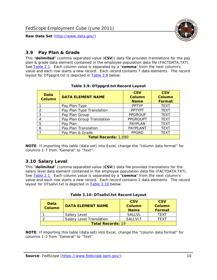

## <span id="page-10-0"></span>*3.9 Pay Plan & Grade*

<span id="page-10-4"></span>This "**delimited**" (comma separated value (**CSV**)) data file provides translations for the pay plan & grade data element contained in the employee population data file (FACTDATA.TXT). See [Table 2.1](#page-4-1). Each column value is separated by a "**comma**" from the next column's value and each row starts a new record. Each record contains 7 data elements. The record layout for DTppgrd.txt is depicted in **Table 3.9** below:

<span id="page-10-2"></span>

| Data<br><b>Column</b>       | <b>DATA ELEMENT NAME</b>   | <b>CSV</b><br>Column<br><b>Name</b> | <b>CSV</b><br><b>Column</b><br><b>Format</b> |  |
|-----------------------------|----------------------------|-------------------------------------|----------------------------------------------|--|
|                             | Pay Plan Type              | <b>PPTYP</b>                        | <b>TEXT</b>                                  |  |
| $\mathcal{P}$               | Pay Plan Type Translation  | <b>PPTYPT</b>                       | <b>TEXT</b>                                  |  |
| 3                           | Pay Plan Group             | <b>PPGROUP</b>                      | <b>TEXT</b>                                  |  |
| 4                           | Pay Plan Group Translation | <b>PPGROUPT</b>                     | <b>TEXT</b>                                  |  |
| 5                           | Pay Plan                   | <b>PAYPLAN</b>                      | <b>TEXT</b>                                  |  |
| 6                           | Pay Plan Translation       | PAYPLANT                            | <b>TEXT</b>                                  |  |
|                             | Pay Plan & Grade           | <b>PPGRD</b>                        | <b>TEXT</b>                                  |  |
| <b>Total Records: 1,090</b> |                            |                                     |                                              |  |

#### **Table 3.9: DTppgrd.txt Record Layout**

**NOTE**: If importing this table (data set) into Excel, change the "column data format" for columns 1-7 from "General" to "Text".

# <span id="page-10-1"></span>*3.10 Salary Level*

<span id="page-10-5"></span><span id="page-10-3"></span>This "**delimited**" (comma separated value (**CSV**)) data file provides translations for the salary level data element contained in the employee population data file (FACTDATA.TXT). See [Table 2.1](#page-4-1). Each column value is separated by a "**comma**" from the next column's value and each row starts a new record. Each record contains 2 data elements. The record layout for DTsallvl.txt is depicted in [Table 3.10](#page-10-5) below:

| <b>Data</b><br><b>Column</b> | <b>DATA ELEMENT NAME</b>        | <b>CSV</b><br>Column<br><b>Name</b> | <b>CSV</b><br>Column<br><b>Format</b> |
|------------------------------|---------------------------------|-------------------------------------|---------------------------------------|
|                              | Salary Level                    | <b>SALLVL</b>                       | TFXT                                  |
|                              | <b>Salary Level Translation</b> | SAI I VI T                          | TEXT                                  |
| <b>Total Records: 19</b>     |                                 |                                     |                                       |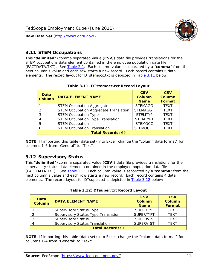

#### <span id="page-11-0"></span>*3.11 STEM Occupations*

<span id="page-11-4"></span>This "**delimited**" (comma separated value (**CSV**)) data file provides translations for the STEM occupations data element contained in the employee population data file (FACTDATA.TXT). See [Table 2.1](#page-4-1). Each column value is separated by a "**comma**" from the next column's value and each row starts a new record. Each record contains 6 data elements. The record layout for DTstemocc.txt is depicted in [Table 3.11](#page-11-4) below:

<span id="page-11-2"></span>

| Data<br><b>Column</b>    | <b>DATA ELEMENT NAME</b>                     | <b>CSV</b><br>Column<br><b>Name</b> | <b>CSV</b><br><b>Column</b><br>Format |  |
|--------------------------|----------------------------------------------|-------------------------------------|---------------------------------------|--|
|                          | <b>STEM Occupation Aggregate</b>             | <b>STEMAGG</b>                      | <b>TEXT</b>                           |  |
|                          | <b>STEM Occupation Aggregate Translation</b> | <b>STEMAGGT</b>                     | <b>TEXT</b>                           |  |
| 3                        | <b>STEM Occupation Type</b>                  | <b>STEMTYP</b>                      | <b>TEXT</b>                           |  |
|                          | <b>STEM Occupation Type Translation</b>      | <b>STEMTYPT</b>                     | <b>TEXT</b>                           |  |
| 5                        | <b>STEM Occupation</b>                       | <b>STEMOCC</b>                      | <b>TEXT</b>                           |  |
|                          | <b>STEM Occupation Translation</b>           | <b>STEMOCCT</b>                     | <b>TEXT</b>                           |  |
| <b>Total Records: 69</b> |                                              |                                     |                                       |  |

#### **Table 3.11: DTstemocc.txt Record Layout**

**NOTE**: If importing this table (data set) into Excel, change the "column data format" for columns 1-6 from "General" to "Text".

# <span id="page-11-1"></span>*3.12 Supervisory Status*

This "**delimited**" (comma separated value (**CSV**)) data file provides translations for the supervisory status data element contained in the employee population data file (FACTDATA.TXT). See [Table 2.1](#page-4-1). Each column value is separated by a "**comma**" from the next column's value and each row starts a new record. Each record contains 4 data elements. The record layout for DTsuper.txt is depicted in [Table 3.12](#page-11-5) below:

<span id="page-11-5"></span><span id="page-11-3"></span>

| Data<br><b>Column</b>   | <b>DATA ELEMENT NAME</b>              | <b>CSV</b><br>Column<br><b>Name</b> | <b>CSV</b><br><b>Column</b><br>Format |  |
|-------------------------|---------------------------------------|-------------------------------------|---------------------------------------|--|
|                         | <b>Supervisory Status Type</b>        | <b>SUPFRTYP</b>                     | <b>TEXT</b>                           |  |
|                         | Supervisory Status Type Translation   | <b>SUPERTYPT</b>                    | <b>TEXT</b>                           |  |
|                         | <b>Supervisory Status</b>             | <b>SUPERVIS</b>                     | <b>TEXT</b>                           |  |
|                         | <b>Supervisory Status Translation</b> | <b>SUPERVIST</b>                    | <b>TEXT</b>                           |  |
| <b>Total Records: 7</b> |                                       |                                     |                                       |  |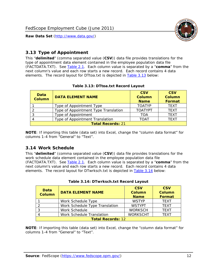

## <span id="page-12-0"></span>*3.13 Type of Appointment*

This "**delimited**" (comma separated value (**CSV**)) data file provides translations for the type of appointment data element contained in the employee population data file (FACTDATA.TXT). See [Table 2.1](#page-4-1). Each column value is separated by a "**comma**" from the next column's value and each row starts a new record. Each record contains 4 data elements. The record layout for DTtoa.txt is depicted in [Table 3.13](#page-12-4) below:

<span id="page-12-4"></span><span id="page-12-2"></span>

| Data<br><b>Column</b> | <b>DATA ELEMENT NAME</b>             | <b>CSV</b><br><b>Column</b><br><b>Name</b> | <b>CSV</b><br><b>Column</b><br>Format |
|-----------------------|--------------------------------------|--------------------------------------------|---------------------------------------|
|                       | Type of Appointment Type             | <b>TOATYP</b>                              | <b>TEXT</b>                           |
|                       | Type of Appointment Type Translation | <b>TOATYPT</b>                             | <b>TEXT</b>                           |
|                       | Type of Appointment                  | TOA                                        | <b>TEXT</b>                           |
|                       | Type of Appointment Translation      | <b>TOAT</b>                                | <b>TEXT</b>                           |
|                       | <b>Total Records: 21</b>             |                                            |                                       |

#### **Table 3.13: DTtoa.txt Record Layout**

**NOTE**: If importing this table (data set) into Excel, change the "column data format" for columns 1-4 from "General" to "Text".

#### <span id="page-12-1"></span>*3.14 Work Schedule*

<span id="page-12-5"></span>This "**delimited**" (comma separated value (**CSV**)) data file provides translations for the work schedule data element contained in the employee population data file (FACTDATA.TXT). See [Table 2.1](#page-4-1). Each column value is separated by a "**comma**" from the next column's value and each row starts a new record. Each record contains 4 data elements. The record layout for DTwrksch.txt is depicted in [Table 3.14](#page-12-5) below:

<span id="page-12-3"></span>

| Data<br>Column           | <b>DATA ELEMENT NAME</b>       | <b>CSV</b><br><b>Column</b><br><b>Name</b> | <b>CSV</b><br>Column<br><b>Format</b> |
|--------------------------|--------------------------------|--------------------------------------------|---------------------------------------|
|                          | Work Schedule Type             | <b>WSTYP</b>                               | <b>TEXT</b>                           |
| 2                        | Work Schedule Type Translation | <b>WSTYPT</b>                              | <b>TFXT</b>                           |
| 3                        | Work Schedule                  | <b>WORKSCH</b>                             | <b>TFXT</b>                           |
|                          | Work Schedule Translation      | <b>WORKSCHT</b>                            | <b>TFXT</b>                           |
| <b>Total Records: 12</b> |                                |                                            |                                       |

|  | Table 3.14: DTwrksch.txt Record Layout |  |
|--|----------------------------------------|--|
|  |                                        |  |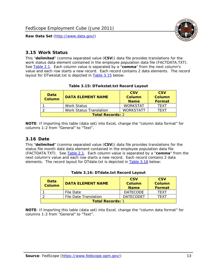

#### <span id="page-13-0"></span>*3.15 Work Status*

<span id="page-13-4"></span><span id="page-13-2"></span>This "**delimited**" (comma separated value (**CSV**)) data file provides translations for the work status data element contained in the employee population data file (FACTDATA.TXT). See [Table 2.1](#page-4-1). Each column value is separated by a "**comma**" from the next column's value and each row starts a new record. Each record contains 2 data elements. The record layout for DTwkstat.txt is depicted in [Table 3.15](#page-13-4) below:

| Data<br><b>Column</b>   | <b>DATA ELEMENT NAME</b>       | <b>CSV</b><br>Column<br><b>Name</b> | <b>CSV</b><br>Column<br>Format |
|-------------------------|--------------------------------|-------------------------------------|--------------------------------|
|                         | Work Status                    | <b>WORKSTAT</b>                     | TFXT                           |
|                         | <b>Work Status Translation</b> | <b>WORKSTATT</b>                    | TFXT                           |
| <b>Total Records: 2</b> |                                |                                     |                                |

#### **Table 3.15: DTwkstat.txt Record Layout**

**NOTE**: If importing this table (data set) into Excel, change the "column data format" for columns 1-2 from "General" to "Text".

#### <span id="page-13-1"></span>*3.16 Date*

<span id="page-13-5"></span><span id="page-13-3"></span>This "**delimited**" (comma separated value (**CSV**)) data file provides translations for the status file month date data element contained in the employee population data file (FACTDATA.TXT). See [Table 2.1](#page-4-1). Each column value is separated by a "**comma**" from the next column's value and each row starts a new record. Each record contains 2 data elements. The record layout for DTdate.txt is depicted in [Table 3.16](#page-13-5) below:

| Data<br><b>Column</b>   | <b>DATA ELEMENT NAME</b> | <b>CSV</b><br>Column<br><b>Name</b> | <b>CSV</b><br>Column<br><b>Format</b> |
|-------------------------|--------------------------|-------------------------------------|---------------------------------------|
|                         | File Date                | <b>DATECODE</b>                     | TFXT                                  |
|                         | File Date Translation    | <b>DATECODET</b>                    | TFXT                                  |
| <b>Total Records: 1</b> |                          |                                     |                                       |

**Table 3.16: DTdate.txt Record Layout**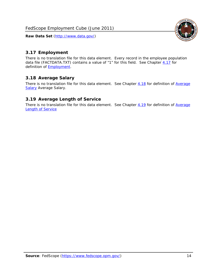<span id="page-14-0"></span>![](_page_14_Picture_2.jpeg)

There is no translation file for this data element. Every record in the employee population data file (FACTDATA.TXT) contains a value of "1" for this field. See Chapter  $4.17$  for definition of **Employment**.

# <span id="page-14-1"></span>*3.18 Average Salary*

There is no translation file for this data element. See Chapter [4.18](#page-17-1) for definition of [Average](#page-17-1) **[Salary](#page-17-1) [Average Salary.](#page-17-1)** 

#### <span id="page-14-2"></span>*3.19 Average Length of Service*

There is no translation file for this data element. See Chapter [4.19](#page-17-2) for definition of [Average](#page-17-2) Length of Service

![](_page_14_Picture_10.jpeg)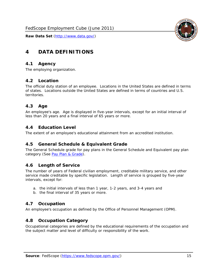![](_page_15_Picture_2.jpeg)

# <span id="page-15-0"></span>**4 DATA DEFINITIONS**

#### <span id="page-15-1"></span>*4.1 Agency*

The employing organization.

# <span id="page-15-2"></span>*4.2 Location*

The official duty station of an employee. Locations in the United States are defined in terms of states. Locations outside the United States are defined in terms of countries and U.S. territories.

#### <span id="page-15-3"></span>*4.3 Age*

An employee's age. Age is displayed in five-year intervals, except for an initial interval of less than 20 years and a final interval of 65 years or more.

#### <span id="page-15-4"></span>*4.4 Education Level*

The extent of an employee's educational attainment from an accredited institution.

#### <span id="page-15-5"></span>*4.5 General Schedule & Equivalent Grade*

The General Schedule grade for pay plans in the General Schedule and Equivalent pay plan category (See [Pay Plan & Grade](#page-16-0)).

#### <span id="page-15-6"></span>*4.6 Length of Service*

The number of years of Federal civilian employment, creditable military service, and other service made creditable by specific legislation. Length of service is grouped by five-year intervals, except for:

- a. the initial intervals of less than 1 year, 1-2 years, and 3-4 years and
- b. the final interval of 35 years or more.

#### <span id="page-15-7"></span>*4.7 Occupation*

An employee's occupation as defined by the Office of Personnel Management (OPM).

#### <span id="page-15-8"></span>*4.8 Occupation Category*

Occupational categories are defined by the educational requirements of the occupation and the subject matter and level of difficulty or responsibility of the work.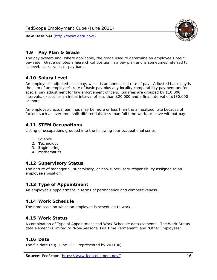![](_page_16_Picture_2.jpeg)

## <span id="page-16-0"></span>*4.9 Pay Plan & Grade*

The pay system and, where applicable, the grade used to determine an employee's basic pay rate. Grade denotes a hierarchical position in a pay plan and is sometimes referred to as level, class, rank, or pay band.

# <span id="page-16-1"></span>*4.10 Salary Level*

An employee's adjusted basic pay, which is an annualized rate of pay. Adjusted basic pay is the sum of an employee's rate of basic pay plus any locality comparability payment and/or special pay adjustment for law enforcement officers. Salaries are grouped by \$10,000 intervals, except for an initial interval of less than \$20,000 and a final interval of \$180,000 or more.

An employee's actual earnings may be more or less than the annualized rate because of factors such as overtime, shift differentials, less than full time work, or leave without pay.

#### <span id="page-16-2"></span>*4.11 STEM Occupations*

Listing of occupations grouped into the following four occupational series:

- 1. **S**cience
- 2. **T**echnology
- 3. **E**ngineering
- 4. **M**athematics

#### <span id="page-16-3"></span>*4.12 Supervisory Status*

The nature of managerial, supervisory, or non-supervisory responsibility assigned to an employee's position.

#### <span id="page-16-4"></span>*4.13 Type of Appointment*

An employee's appointment in terms of permanence and competitiveness.

#### <span id="page-16-5"></span>*4.14 Work Schedule*

The time basis on which an employee is scheduled to work.

#### <span id="page-16-6"></span>*4.15 Work Status*

A combination of Type of Appointment and Work Schedule data elements. The Work Status data element is limited to "Non-Seasonal Full Time Permanent" and "Other Employees".

#### <span id="page-16-7"></span>*4.16 Date*

<span id="page-16-8"></span>The file date (e.g. June 2011 represented by 201106).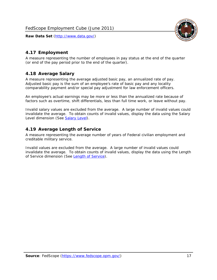![](_page_17_Picture_2.jpeg)

# <span id="page-17-0"></span>*4.17 Employment*

A measure representing the number of employees in pay status at the end of the quarter (or end of the pay period prior to the end of the quarter).

#### <span id="page-17-1"></span>*4.18 Average Salary*

A measure representing the average adjusted basic pay, an annualized rate of pay. Adjusted basic pay is the sum of an employee's rate of basic pay and any locality comparability payment and/or special pay adjustment for law enforcement officers.

An employee's actual earnings may be more or less than the annualized rate because of factors such as overtime, shift differentials, less than full time work, or leave without pay.

Invalid salary values are excluded from the average. A large number of invalid values could invalidate the average. To obtain counts of invalid values, display the data using the Salary Level dimension (See [Salary Level\)](#page-16-1).

#### <span id="page-17-2"></span>*4.19 Average Length of Service*

A measure representing the average number of years of Federal civilian employment and creditable military service.

Invalid values are excluded from the average. A large number of invalid values could invalidate the average. To obtain counts of invalid values, display the data using the Length of Service dimension (See [Length of Service](#page-15-6)).